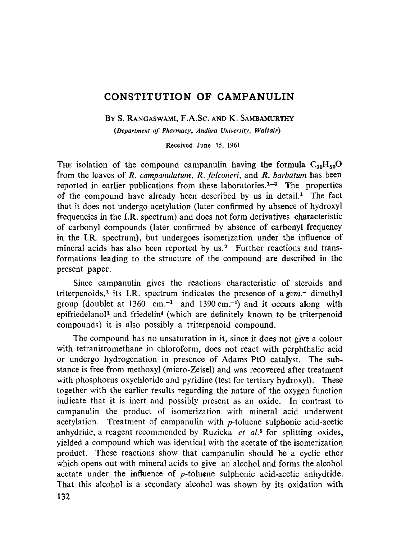# **CONSTITUTION OF CAMPANULIN**

BY S. RANGASWAMI, F.A.SC. AND K. SAMBAMURTHY

*(Department of Pharraacy, Andhra University, Waltair)* 

Received June 15, 1961

THE isolation of the compound campanulin having the formula  $C_{30}H_{50}O$ from the leaves of *R. campanulatum, R. falconeri,* and *R. barbatum* has been reported in earlier publications from these laboratories.<sup> $1-3$ </sup> The properties of the compound have already been described by us in detail.<sup>1</sup> The fact that it does not undergo acetylation (later confirmed by absence of hydroxyl frequencies in the I.R. spectrum) and does not form derivatives characteristic of carbonyl compounds (later confirmed by absence of carbonyl frequency in the I.R. spectrum), but undergoes isomerization under the influence of mineral acids has also been reported by us.<sup>2</sup> Further reactions and transformations leading to the structure of the compound are described in the present paper.

Since campanulin gives the reactions characteristic of steroids and triterpenoids,<sup>1</sup> its I.R. spectrum indicates the presence of a  $g_{\text{em}}$ - dimethyl group (doublet at 1360 cm.<sup>-1</sup> and 1390 cm.<sup>-1</sup>) and it occurs along with epifriedelanol<sup>1</sup> and friedelin<sup>4</sup> (which are definitely known to be triterpenoid compounds) it is also possibly a triterpenoid compound.

The compound has no unsaturation in it, since it does not give a colour with tetranitromethane in chloroform, does not react with perphthalic acid or undergo hydrogenation in presence of Adams PtO catalyst. The substance is free from methoxyl (micro-Zeisel) and was recovered after treatment with phosphorus oxychloride and pyridine (test for tertiary hydroxyl). These together with the earlier results regarding the nature of the oxygen function indicate that it is inert and possibly present as an oxide. In contrast to campanulin the product of isomerization with mineral acid underwent acetylation. Treatment of campanulin with  $p$ -toluene sulphonic acid-acetic anhydride, a reagent recommended by Ruzicka *et al. 5* for splitting oxides, yielded a compound which was identical with the acetate of the isomerization product. These reactions show that campanulin should be a cyclic ether which opens out with mineral acids to give an alcohol and forms the alcohol acetate under the influence of  $p$ -toluene sulphonic acid-acetic anhydride. That this alcohol is a secondary alcohol was shown by its oxidation with 132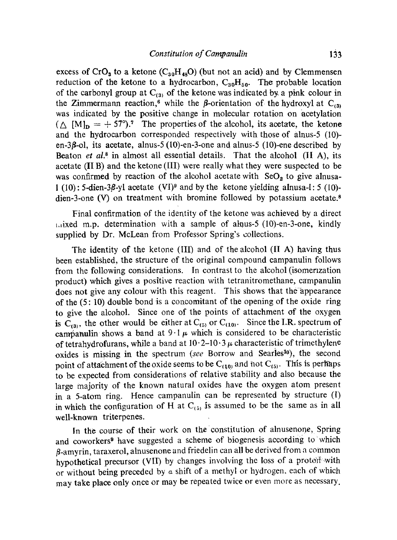excess of CrO<sub>3</sub> to a ketone (C<sub>30</sub>H<sub>48</sub>O) (but not an acid) and by Clemmensen reduction of the ketone to a hydrocarbon,  $C_{30}H_{50}$ . The probable location of the carbonyl group at  $C_{(3)}$  of the ketone was indicated by a pink colour in the Zimmermann reaction,<sup>6</sup> while the  $\beta$ -orientation of the hydroxyl at C<sub>(3)</sub> was indicated by the positive change in molecular rotation on acetylation  $({\triangle}~ [M]_p = +57^{\circ}).$ <sup>7</sup> The properties of the alcohol, its acetate, the ketone and the hydrocarbon corresponded respectively with those of alnus-5 (10) en-3/3-ol, its acetate, alnus-5 (10)-en-3-one and alnus-5 (10)-ene described by Beaton *et al.8* in almost all essential details. That the alcohol (II A), its acetate  $(II B)$  and the ketone  $(III)$  were really what they were suspected to be was confirmed by reaction of the alcohol acetate with  $SeO<sub>2</sub>$  to give alnusa-1 (10): 5-dien-3 $\beta$ -yl acetate (VI)<sup>9</sup> and by the ketone yielding alnusa-l: 5 (10)dien-3-one  $(V)$  on treatment with bromine followed by potassium acetate.<sup>8</sup>

Final confirmation of the identity of the ketone was achieved by a direct  $t_{\text{rel}}$  is determination with a sample of a haus-5 (10)-en-3-one, kindly supplied by Dr. McLean from Professor Spring's collections.

The identity of the ketone (III) and of the alcohol (II A) having thus been established, the structure of the original compound campanulin follows from the following considerations. In contrast to the alcohol (isomerization product) which gives a positive reaction with tetranitromethane, campanulin does not give any colour with this reagent. This shows that the appearance of the  $(5: 10)$  double bond is a concomitant of the opening of the oxide ring to give the alcohol. Since one of the points of attachment of the oxygen is  $C_{(3)}$ , the other would be either at  $C_{(5)}$  or  $C_{(10)}$ . Since the I.R. spectrum of campanulin shows a band at  $9.1 \mu$  which is considered to be characteristic of tetrahydrofurans, while a band at  $10.2{\text -}10.3$   $\mu$  characteristic of trimethylene oxides is missing in the spectrum (see Borrow and Searles<sup>10</sup>), the second point of attachment of the oxide seems to be  $C_{(10)}$  and not  $C_{(5)}$ . This is perhaps to be expected from considerations of relative stability and also because the large majority of the known natural oxides have the oxygen atom present in a 5-atom ring. Hence campanulin can be represented by structure (I) in which the configuration of H at  $C_{(5)}$  is assumed to be the same as in all well-known triterpenes.

In the course of their work on the constitution of alnusenone, Spring and coworkers<sup>9</sup> have suggested a scheme of biogenesis according to which  $\beta$ -amyrin, taraxerol, alnusenone and friedelin can all be derived from a common hypothetical precursor (VII) by changes involving the loss of a protoff with or without being preceded by  $\alpha$  shift of a methyl or hydrogen, each of which may take place only once of may be repeated twice or even more as necessary.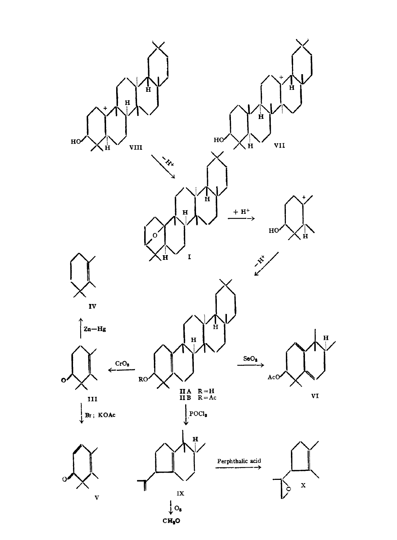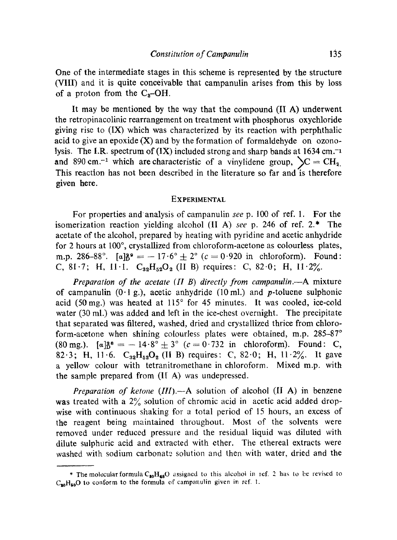One of the intermediate stages in this scheme is represented by the structure (VIII) and it is quite conceivable that campanulin arises from this by loss of a proton from the  $C_8$ -OH.

It may be mentioned by the way that the compound (II A) underwent the retropinacolinic rearrangement on treatment with phosphorus oxychloride giving rise to (IX) which was characterized by its reaction with perphthalic acid to give an epoxide  $(X)$  and by the formation of formaldehyde on ozonolysis. The I.R. spectrum of  $(IX)$  included strong and sharp bands at 1634 cm.<sup>-1</sup> and 890 cm.<sup>-1</sup> which are characteristic of a vinylidene group,  $\mathcal{C} = \mathrm{CH}_{2}$ . This reaction has not been described in the literature so far and is therefore given here.

# **EXPERIMENTAL**

For properties and analysis of campanulin *see* p. 100 of ref. 1. For the isomerization reaction yielding alcohol (II A) *see* p. 246 of ref. 2.\* The acetate of the alcohol, prepared by heating with pyridine and acetic anhydride for 2 hours at  $100^\circ$ , crystallized from chloroform-acetone as colourless plates, m.p. 286-88°.  $[a]_{b}^{3}$ ° = -17.6°  $\pm$  2° (c = 0.920 in chloroform). Found: C, 81.7; H, 11.1.  $C_{32}H_{52}O_2$  (II B) requires: C, 82.0; H, 11.2%.

*Preparation of the aeetate (H B) directly from campanulin.--A* mixture of campanulin  $(0.1 \text{ g.})$ , acetic anhydride (10 ml.) and *p*-toluene sulphonic acid (50 mg.) was heated at  $115^{\circ}$  for 45 minutes. It was cooled, ice-cold water (30 ml.) was added and left in the ice-chest overnight. The precipitate that separated was filtered, washed, dried and crystallized thrice from chloroform-acetone when shining colourless plates were obtained, m.p.  $285-87°$ (80 mg.).  $[a]_{D}^{28} = -14.8^{\circ} \pm 3^{\circ}$  ( $c = 0.732$  in chloroform). Found: C, 82.3; H, 11.6.  $C_{32}H_{52}O_2$  (II B) requires: C, 82.0; H, 11.2%. It gave a yellow colour with tetranitromethane in chloroform. Mixed m.p. with the sample prepared from (I[ A) was undepressed.

*Preparation of ketone (III).*--A solution of alcohol (II A) in benzene was treated with a  $2\%$  solution of chromic acid in acetic acid added dropwise with continuous shaking for a total period of 15 hours, an excess of the reagent being maintained throughout. Most of the solvents were removed under reduced pressure and the residual liquid was diluted with dilute suiphuric acid and extracted with ether. The ethereal extracts were washed with sodium carbonate solution and then with water, dried and the

<sup>\*</sup> The molecular formula  $C_{40}H_{48}O$  assigned to this alcohol in ref. 2 has to be revised to  $C_{20}H_{20}O$  to conform to the formula of campanulin given in ref. 1.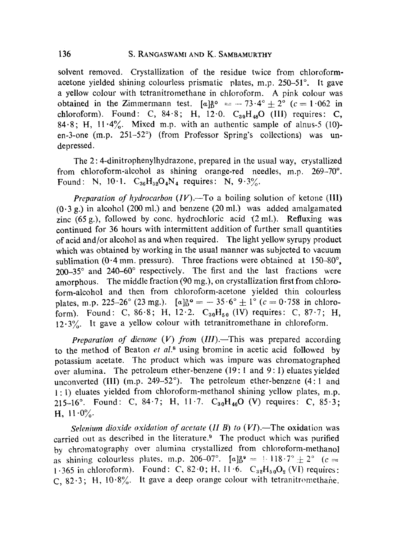solvent removed. Crystallization of the residue twice from chloroformacetone vielded shining colourless prismatic plates, m.p. 250-51°. It gave a yellow colour with tetranitromethane in chloroform. A pink colour was obtained in the Zimmermann test.  $[a]_0^{80} = -73.4^\circ \pm 2^\circ$  (c = 1.062 in chloroform). Found: C,  $84.8$ ; H,  $12.0$ .  $C_{30}H_{48}O$  (III) requires: C, 84.8; H,  $11.4\%$ . Mixed m.p. with an authentic sample of alnus-5 (10)en-3-one  $(m.p. 251-52^{\circ})$  (from Professor Spring's collections) was undepressed.

The 2: 4-dinitrophenylhydrazone, prepared in the usual way, crystallized from chloroform-alcohol as shining orange-red needles, m.p.  $269-70^{\circ}$ . Found: N, 10.1.  $C_{36}H_{52}O_4N_4$  requires: N, 9.3%.

*Preparation of hydrocarbon*  $(IV)$ .—To a boiling solution of ketone  $(III)$  $(0.3 g.)$  in alcohol (200 ml.) and benzene (20 ml.) was added amalgamated zinc  $(65 \text{ g})$ , followed by conc. hydrochloric acid  $(2 \text{ ml})$ . Refluxing was continued for 36 hours with intermittent addition of further small quantities of acid and/or alcohol as and when required. The light yellow syrupy product which was obtained by working in the usual manner was subjected to vacuum sublimation (0.4 mm. pressure). Three fractions were obtained at  $150-80^\circ$ ,  $200-35^\circ$  and  $240-60^\circ$  respectively. The first and the last fractions were amorphous. The middle fraction (90 mg.), on crystallization first from chloroform-alcohol and then from chloroform-acetone yielded thin colourless plates, m.p. 225-26° (23 mg.).  $[a]_0^{30} = -35.6^\circ \pm 1^\circ$  (c = 0.758 in chloroform). Found: C, 86.8; H, 12.2.  $C_{30}H_{50}$  (IV) requires: C, 87.7; H, 12.3%. It gave a yellow colour with tetranitromethane in chloroform.

*Preparation of dienone (V) from (III).*—This was prepared according to the method of Beaton *et al. 8* using bromine in acetic acid followed by potassium acetate. The product which was impure was chromatographed over alumina. The petroleum ether-benzene (19:1 and 9:1) eluates yielded unconverted (III) (m.p. 249–52 $^{\circ}$ ). The petroleum ether-benzene (4:1 and **1 :** 1) eluates yielded from chloroform-methanol shining yellow plates, m.p. 215-16°. Found: C, 84.7; H, 11.7.  $C_{30}H_{46}O$  (V) requires: C, 85.3; H,  $11.0\%$ .

*Selenium dioxide oxidation of acetate (II B) to (VI).*—The oxidation was carried out as described in the literature? The product which was purified by chromatography over alumina crystallized from chloroform-methanol as shining colourless plates, m.p. 206-07°.  $[a]_D^{29} = 118.7^\circ \pm 2^\circ$  (c = 1.365 in chloroform). Found: C, 82.0; H,  $11.6$ . C<sub>32</sub>H<sub>50</sub>O<sub>2</sub> (VI) requires: C, 82.3; H,  $10.8\%$ . It gave a deep orange colour with tetranitromethane.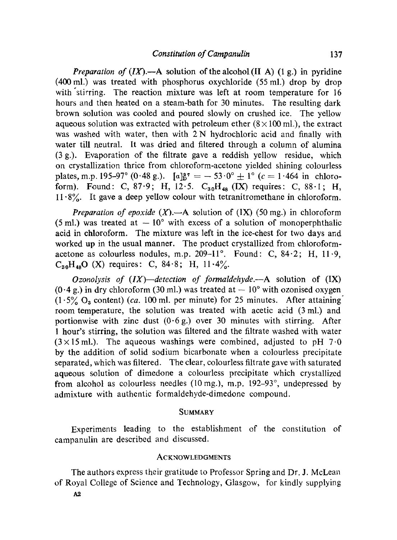*Preparation of*  $(IX)$ *.*--A solution of the alcohol  $(II A) (1 g.)$  in pyridine (400 ml.) was treated with phosphorus oxychloride (55 mi.) drop by drop with'stirring. The reaction mixture was left at room temperature for 16 hours and then heated on a steam-bath for 30 minutes. The resulting dark brown solution was cooled and poured slowly on crushed ice. The yellow aqueous solution was extracted with petroleum ether  $(8 \times 100 \text{ ml})$ , the extract was washed with water, then with 2 N hydrochloric acid and finally with water till neutral. It was dried and filtered through a column of alumina (3 g.). Evaporation of the filtrate gave a reddish yellow residue, which oa crystallization thrice from chloroform-acetone yielded shining colourless plates, m.p. 195-97° (0.48 g.).  $[a]_{\text{B}}^{37} = -53.0^{\circ} \pm 1^{\circ}$  (c = 1.464 in chloroform). Found: C, 87.9; H, 12.5.  $C_{30}H_{48}$  (IX) requires: C, 88.1; H,  $11.8\%$ . It gave a deep yellow colour with tetranitromethane in chloroform.

*Preparation of epoxide*  $(X)$ .—A solution of  $(IX)$  (50 mg.) in chloroform (5 ml.) was treated at  $-10^{\circ}$  with excess of a solution of monoperphthalic acid in chloroform. The mixture was left in the ice-chest for two days and worked up in the usual manner. The product crystallized from chloroformacetone as colourless nodules, m.p. 209-11°. Found: C,  $84.2$ ; H,  $11.9$ ,  $C_{30}H_{48}O$  (X) requires: C, 84.8; H, 11.4%.

*Ozonolysis of (IX)--detection of formaldehyde.--A* solution of (IX) (0.4 g.) in dry chloroform (30 ml.) was treated at  $-10^{\circ}$  with ozonised oxygen  $(1.5\% \text{ O}_3 \text{ content})$  *(ca. 100 ml. per minute) for 25 minutes.* After attaining room temperature, the solution was treated with acetic acid (3 mi.) and portionwise with zinc dust  $(0.6 g)$  over 30 minutes with stirring. After 1 hour's stirring, the solution was filtered and the filtrate washed with water  $(3 \times 15 \text{ ml.})$ . The aqueous washings were combined, adjusted to pH 7.0 by the addition of solid sodium bicarbonate when a colourless precipitate separated, which was filtered. The clear, colourless filtrate gave with saturated aqueous solution of dimedone a colourless precipitate which crystallized from alcohol as colourless needles (10 mg.), m.p.  $192-93^{\circ}$ , undepressed by admixture with authentic formaldehyde-dimedone compound.

#### **SUMMARY**

Experiments leading to the establishment of the constitution of campanulin are described and discussed.

## **ACKNOWLEDGMENTS**

The authors express their gratitude to Professor Spring and Dr. J. McLean of Royal College of Sciencc and Technology, Glasgow, for kindly supplying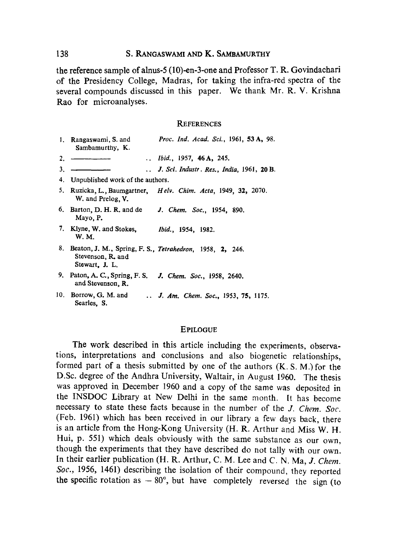# 138 S. RANGASWAMI AND K. SAMBAMURTHY

the reference sample of alnus-5 (10)-en-3-one and Professor T. R. Govindachari of the Presidency College, Madras, for taking the infra-red spectra of the several compounds discussed in this paper. We thank Mr. R. V. Krishna Rao for microanalyses.

### **REFERENCES**

|    | 1. Rangaswami, S. and<br>Sambamurthy, K.            | Proc. Ind. Acad. Sci., 1961, 53 A, 98.                                 |
|----|-----------------------------------------------------|------------------------------------------------------------------------|
| 2. |                                                     | <i>Ibid.</i> , 1957, <b>46 A,</b> 245.                                 |
| 3. |                                                     | J. Sci. Industr. Res., India, 1961, 20 B.                              |
|    | 4. Unpublished work of the authors.                 |                                                                        |
|    | W. and Prelog. V.                                   | 5. Ruzicka, L., Baumgartner, <i>Helv. Chim. Acta</i> , 1949, 32, 2070. |
|    | 6. Barton, D. H. R. and de<br>Mayo, P.              | J. Chem. Soc., 1954, 890.                                              |
|    | 7. Klyne, W. and Stokes.<br>W. M.                   | <i>Ibid.</i> , 1954, 1982.                                             |
|    | Stevenson, R. and<br>Stewart, J. L.                 | 8. Beaton, J. M., Spring, F. S., Tetrahedron, 1958, 2, 246.            |
|    | 9. Paton, A. C., Spring, F. S.<br>and Stevenson, R. | J. Chem. Soc., 1958, 2640.                                             |
|    | 10. Borrow, G. M. and<br>Searles, S.                | J. Am. Chem. Soc., 1953, 75, 1175.                                     |

#### **EPILOGUE**

The work described in this article including the experiments, observations, interpretations and conclusions and also biogenetic relationships, formed part of a thesis submitted by one of the authors  $(K, S, M)$  for the D.Sc. degree of the Andhra University, Waltair, in August 1960. The thesis was approved in December 1960 and a copy of the same was deposited in the INSDOC Library at New Delhi in the same month. Ir has become necessary to state these facts because in the number of the *J. Chem. Soc.*  (Feb. 1961) which has been received in our library a few days back, there is an article from the Hong-Kong University (H. R. Arthur and Miss W. H. Hui, p. 551) which deals obviously with the same substance as our own, though the experiments that they have described do not tally with our own. In their earlier publication (H. R. Arthur, C. M. Lee and C. N. Ma, *J. Chem. Soc.,* 1956, 1461) describing the isolation of their compound, they reported the specific rotation as  $-80^\circ$ , but have completely reversed the sign (to